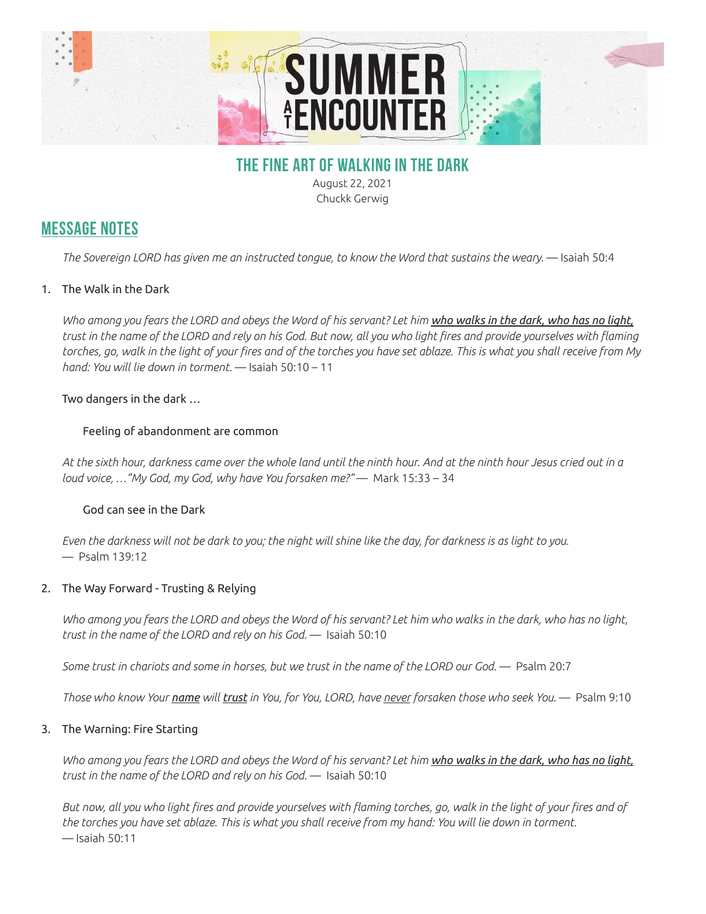

## **THE FINE ART OF WALKING IN THE DARK**

August 22, 2021 Chuckk Gerwig

# **MESSAGE NOTES**

*The Sovereign LORD has given me an instructed tongue, to know the Word that sustains the weary.* — Isaiah 50:4

### 1. The Walk in the Dark

*Who among you fears the LORD and obeys the Word of his servant? Let him who walks in the dark, who has no light, trust in the name of the LORD and rely on his God. But now, all you who light fires and provide yourselves with flaming torches, go, walk in the light of your fires and of the torches you have set ablaze. This is what you shall receive from My hand: You will lie down in torment.* — Isaiah 50:10 – 11

### Two dangers in the dark …

#### Feeling of abandonment are common

*At the sixth hour, darkness came over the whole land until the ninth hour. And at the ninth hour Jesus cried out in a loud voice, …"My God, my God, why have You forsaken me?"* — Mark 15:33 – 34

#### God can see in the Dark

*Even the darkness will not be dark to you; the night will shine like the day, for darkness is as light to you.*  — Psalm 139:12

#### 2. The Way Forward - Trusting & Relying

*Who among you fears the LORD and obeys the Word of his servant? Let him who walks in the dark, who has no light, trust in the name of the LORD and rely on his God.* — Isaiah 50:10

*Some trust in chariots and some in horses, but we trust in the name of the LORD our God.* — Psalm 20:7

*Those who know Your name will trust in You, for You, LORD, have never forsaken those who seek You.* — Psalm 9:10

#### 3. The Warning: Fire Starting

*Who among you fears the LORD and obeys the Word of his servant? Let him who walks in the dark, who has no light, trust in the name of the LORD and rely on his God.* — Isaiah 50:10

*But now, all you who light fires and provide yourselves with flaming torches, go, walk in the light of your fires and of the torches you have set ablaze. This is what you shall receive from my hand: You will lie down in torment.*  — Isaiah 50:11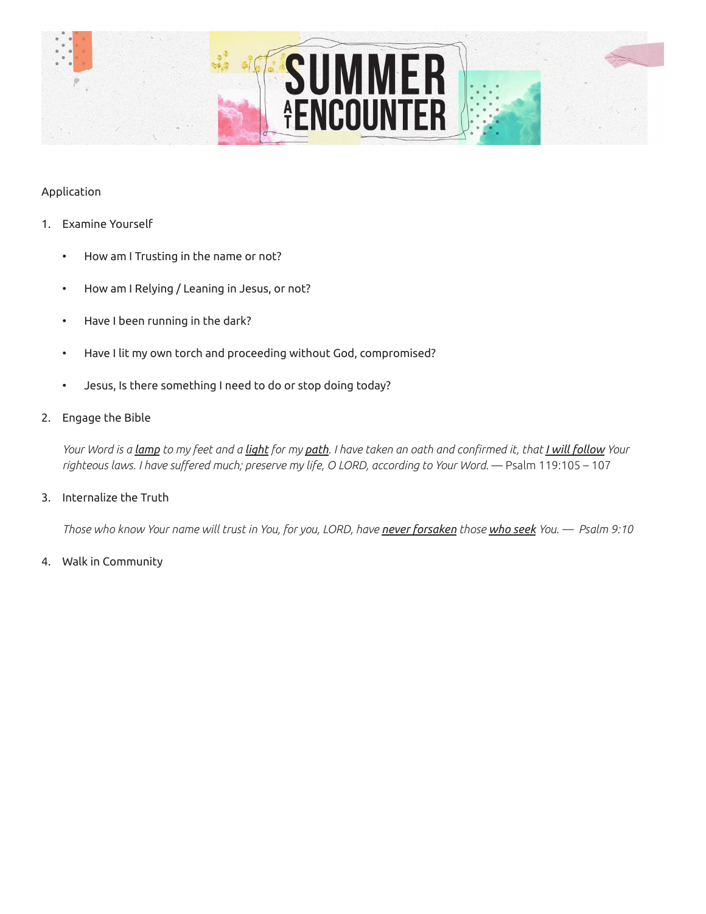

#### Application

- 1. Examine Yourself
	- How am I Trusting in the name or not?
	- How am I Relying / Leaning in Jesus, or not?
	- Have I been running in the dark?
	- Have I lit my own torch and proceeding without God, compromised?
	- Jesus, Is there something I need to do or stop doing today?
- 2. Engage the Bible

*Your Word is a lamp to my feet and a light for my path. I have taken an oath and confirmed it, that I will follow Your*  righteous laws. I have suffered much; preserve my life, O LORD, according to Your Word. — Psalm 119:105 – 107

#### 3. Internalize the Truth

*Those who know Your name will trust in You, for you, LORD, have never forsaken those who seek You. — Psalm 9:10*

4. Walk in Community